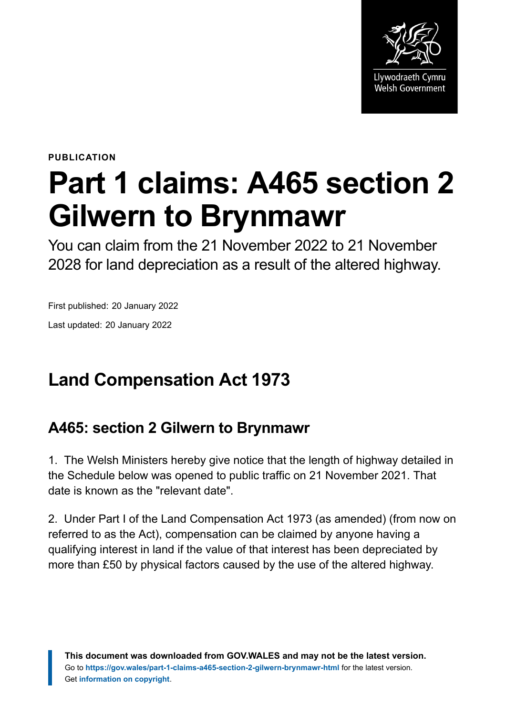

**PUBLICATION**

# **Part 1 claims: A465 section 2 Gilwern to Brynmawr**

You can claim from the 21 November 2022 to 21 November 2028 for land depreciation as a result of the altered highway.

First published: 20 January 2022 Last updated: 20 January 2022

# **Land Compensation Act 1973**

### **A465: section 2 Gilwern to Brynmawr**

1. The Welsh Ministers hereby give notice that the length of highway detailed in the Schedule below was opened to public traffic on 21 November 2021. That date is known as the "relevant date".

2. Under Part I of the Land Compensation Act 1973 (as amended) (from now on referred to as the Act), compensation can be claimed by anyone having a qualifying interest in land if the value of that interest has been depreciated by more than £50 by physical factors caused by the use of the altered highway.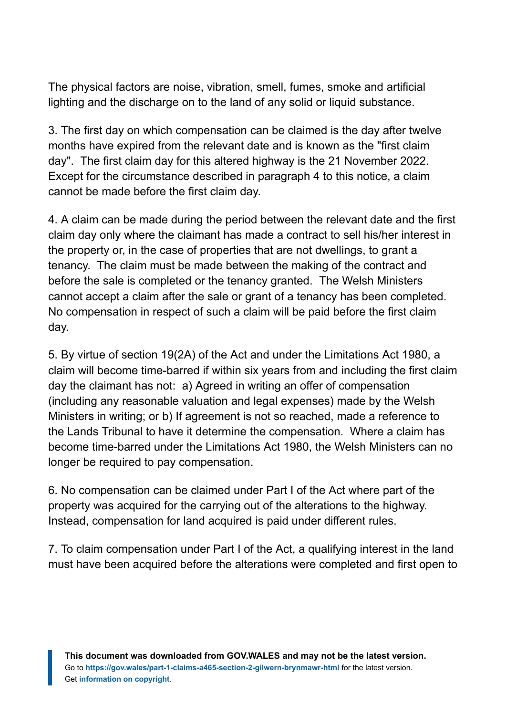The physical factors are noise, vibration, smell, fumes, smoke and artificial lighting and the discharge on to the land of any solid or liquid substance.

3. The first day on which compensation can be claimed is the day after twelve months have expired from the relevant date and is known as the "first claim day". The first claim day for this altered highway is the 21 November 2022. Except for the circumstance described in paragraph 4 to this notice, a claim cannot be made before the first claim day.

4. A claim can be made during the period between the relevant date and the first claim day only where the claimant has made a contract to sell his/her interest in the property or, in the case of properties that are not dwellings, to grant a tenancy. The claim must be made between the making of the contract and before the sale is completed or the tenancy granted. The Welsh Ministers cannot accept a claim after the sale or grant of a tenancy has been completed. No compensation in respect of such a claim will be paid before the first claim day.

5. By virtue of section 19(2A) of the Act and under the Limitations Act 1980, a claim will become time-barred if within six years from and including the first claim day the claimant has not: a) Agreed in writing an offer of compensation (including any reasonable valuation and legal expenses) made by the Welsh Ministers in writing; or b) If agreement is not so reached, made a reference to the Lands Tribunal to have it determine the compensation. Where a claim has become time-barred under the Limitations Act 1980, the Welsh Ministers can no longer be required to pay compensation.

6. No compensation can be claimed under Part I of the Act where part of the property was acquired for the carrying out of the alterations to the highway. Instead, compensation for land acquired is paid under different rules.

7. To claim compensation under Part I of the Act, a qualifying interest in the land must have been acquired before the alterations were completed and first open to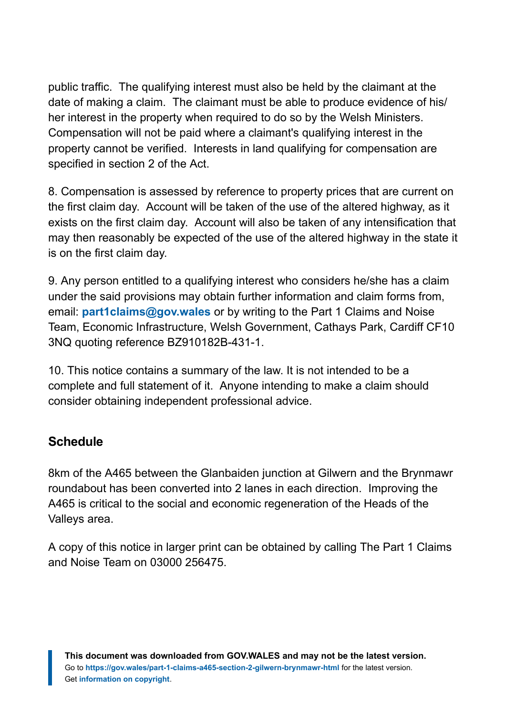public traffic. The qualifying interest must also be held by the claimant at the date of making a claim. The claimant must be able to produce evidence of his/ her interest in the property when required to do so by the Welsh Ministers. Compensation will not be paid where a claimant's qualifying interest in the property cannot be verified. Interests in land qualifying for compensation are specified in section 2 of the Act.

8. Compensation is assessed by reference to property prices that are current on the first claim day. Account will be taken of the use of the altered highway, as it exists on the first claim day. Account will also be taken of any intensification that may then reasonably be expected of the use of the altered highway in the state it is on the first claim day.

9. Any person entitled to a qualifying interest who considers he/she has a claim under the said provisions may obtain further information and claim forms from, email: **[part1claims@gov.wales](mailto:part1claims@gov.wales)** or by writing to the Part 1 Claims and Noise Team, Economic Infrastructure, Welsh Government, Cathays Park, Cardiff CF10 3NQ quoting reference BZ910182B-431-1.

10. This notice contains a summary of the law. It is not intended to be a complete and full statement of it. Anyone intending to make a claim should consider obtaining independent professional advice.

#### **Schedule**

8km of the A465 between the Glanbaiden junction at Gilwern and the Brynmawr roundabout has been converted into 2 lanes in each direction. Improving the A465 is critical to the social and economic regeneration of the Heads of the Valleys area.

A copy of this notice in larger print can be obtained by calling The Part 1 Claims and Noise Team on 03000 256475.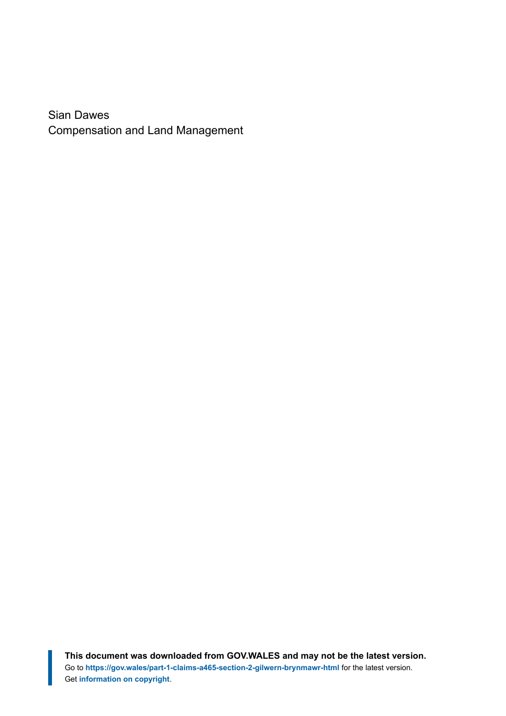Sian Dawes Compensation and Land Management

**This document was downloaded from GOV.WALES and may not be the latest version.** Go to **<https://gov.wales/part-1-claims-a465-section-2-gilwern-brynmawr-html>** for the latest version. Get **[information on copyright](https://gov.wales/copyright-statement)**.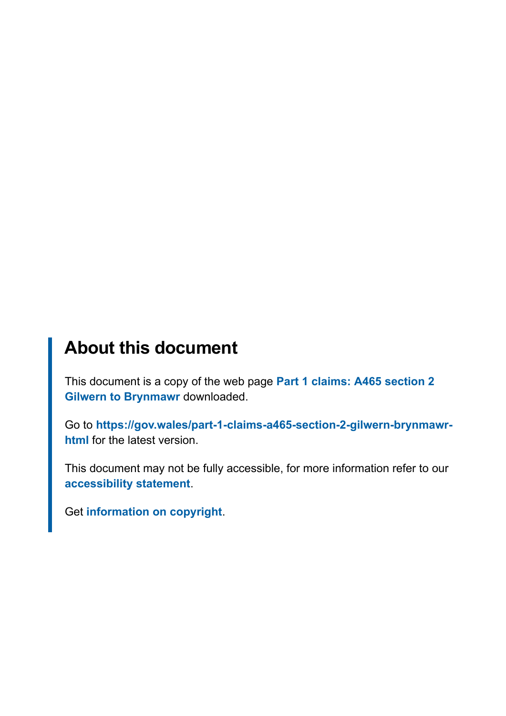## **About this document**

This document is a copy of the web page **[Part 1 claims: A465 section 2](https://gov.wales/part-1-claims-a465-section-2-gilwern-brynmawr-html) [Gilwern to Brynmawr](https://gov.wales/part-1-claims-a465-section-2-gilwern-brynmawr-html)** downloaded.

Go to **[https://gov.wales/part-1-claims-a465-section-2-gilwern-brynmawr](https://gov.wales/part-1-claims-a465-section-2-gilwern-brynmawr-html)[html](https://gov.wales/part-1-claims-a465-section-2-gilwern-brynmawr-html)** for the latest version.

This document may not be fully accessible, for more information refer to our **[accessibility statement](https://gov.wales/accessibility-statement-govwales)**.

Get **[information on copyright](https://gov.wales/copyright-statement)**.